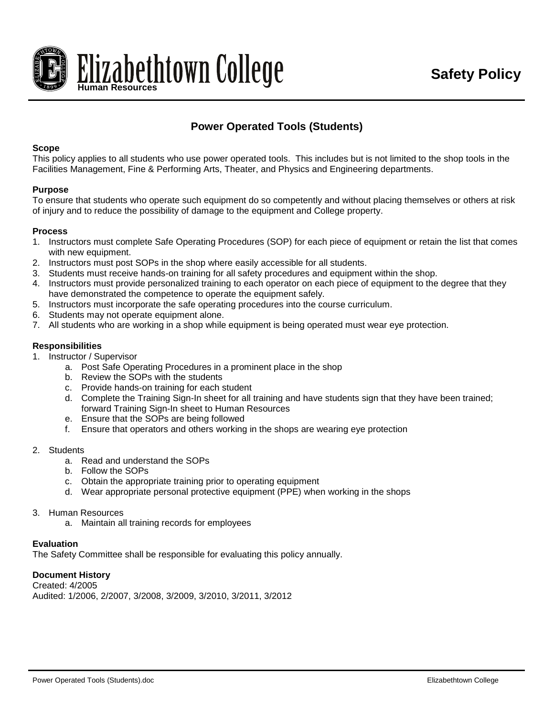

# **Power Operated Tools (Students)**

## **Scope**

This policy applies to all students who use power operated tools. This includes but is not limited to the shop tools in the Facilities Management, Fine & Performing Arts, Theater, and Physics and Engineering departments.

## **Purpose**

To ensure that students who operate such equipment do so competently and without placing themselves or others at risk of injury and to reduce the possibility of damage to the equipment and College property.

## **Process**

- 1. Instructors must complete Safe Operating Procedures (SOP) for each piece of equipment or retain the list that comes with new equipment.
- 2. Instructors must post SOPs in the shop where easily accessible for all students.
- 3. Students must receive hands-on training for all safety procedures and equipment within the shop.
- 4. Instructors must provide personalized training to each operator on each piece of equipment to the degree that they have demonstrated the competence to operate the equipment safely.
- 5. Instructors must incorporate the safe operating procedures into the course curriculum.
- 6. Students may not operate equipment alone.
- 7. All students who are working in a shop while equipment is being operated must wear eye protection.

## **Responsibilities**

- 1. Instructor / Supervisor
	- a. Post Safe Operating Procedures in a prominent place in the shop
	- b. Review the SOPs with the students
	- c. Provide hands-on training for each student
	- d. Complete the Training Sign-In sheet for all training and have students sign that they have been trained; forward Training Sign-In sheet to Human Resources
	- e. Ensure that the SOPs are being followed
	- f. Ensure that operators and others working in the shops are wearing eye protection
- 2. Students
	- a. Read and understand the SOPs
	- b. Follow the SOPs
	- c. Obtain the appropriate training prior to operating equipment
	- d. Wear appropriate personal protective equipment (PPE) when working in the shops
- 3. Human Resources
	- a. Maintain all training records for employees

#### **Evaluation**

The Safety Committee shall be responsible for evaluating this policy annually.

#### **Document History**

Created: 4/2005 Audited: 1/2006, 2/2007, 3/2008, 3/2009, 3/2010, 3/2011, 3/2012